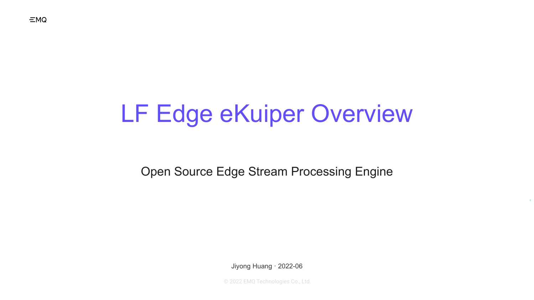© 2022 EMQ Technologies Co., Ltd.

Jiyong Huang · 2022-06

 $EMQ$ 

# LF Edge eKuiper Overview

### Open Source Edge Stream Processing Engine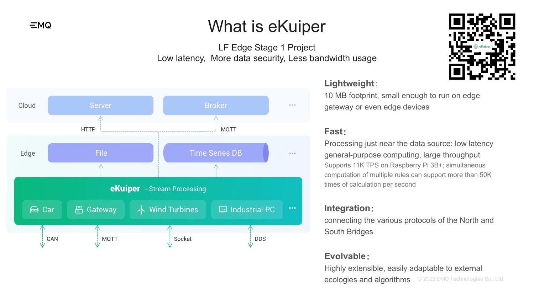

## What is eKuiper

LF Edge Stage 1 Project Low latency, More data security, Less bandwidth usage



### **Lightweight**:

10 MB footprint, small enough to run on edge gateway or even edge devices

#### **Fast**:

ecologies and algorithms @ 2022 EMQ Technologies Co., Ltd. Highly extensible, easily adaptable to external

Processing just near the data source: low latency general-purpose computing, large throughput Supports 11K TPS on Raspberry Pi 3B+; simultaneous computation of multiple rules can support more than 50K times of calculation per second

#### **Integration**:

connecting the various protocols of the North and South Bridges

### **Evolvable**: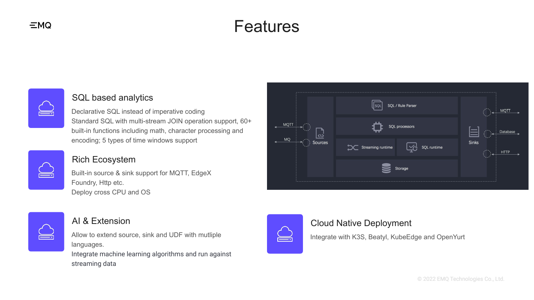© 2022 EMQ Technologies Co., Ltd.



### Features





#### $\equiv$ MQ



#### SQL based analytics

Declarative SQL instead of imperative coding Standard SQL with multi-stream JOIN operation support, 60+ built-in functions including math, character processing and encoding; 5 types of time windows support

#### Rich Ecosystem

Built-in source & sink support for MQTT, EdgeX Foundry, Http etc. Deploy cross CPU and OS

| <u>estas p</u> |  |
|----------------|--|
|                |  |

#### AI & Extension

Allow to extend source, sink and UDF with mutliple languages.

Integrate machine learning algorithms and run against streaming data

#### Cloud Native Deployment

Integrate with K3S, Beatyl, KubeEdge and OpenYurt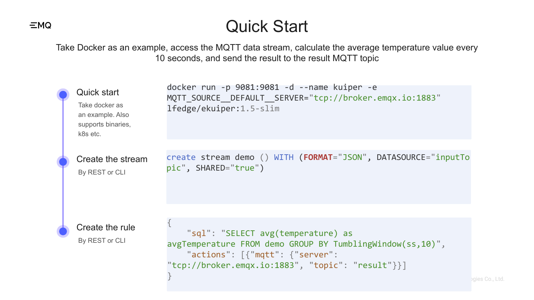## Quick Start

Take Docker as an example, access the MQTT data stream, calculate the average temperature value every 10 seconds, and send the result to the result MQTT topic



Take docker as an example. Also supports binaries, k8s etc.

Create the stream

By REST or CLI



By REST or CLI

```
docker run -p 9081:9081 -d --name kuiper -e 
MQTT_SOURCE__DEFAULT__SERVER="tcp://broker.emqx.io:1883"
```
lfedge/ekuiper:1.5-slim

```
create stream demo () WITH (FORMAT="JSON", DATASOURCE="inputTo
```
pic", SHARED="true")

{ }

```
 "sql": "SELECT avg(temperature) as 
avgTemperature FROM demo GROUP BY TumblingWindow(ss,10)",
     "actions": [{"mqtt": {"server":
"tcp://broker.emqx.io:1883", "topic": "result"}}]
```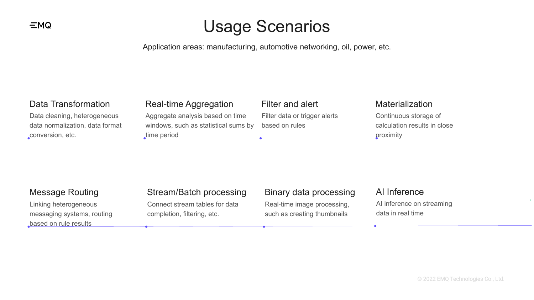© 2022 EMQ Technologies Co., Ltd.

## Usage Scenarios

Application areas: manufacturing, automotive networking, oil, power, etc.

Aggregate analysis based on time windows, such as statistical sums by time period

#### $\equiv$ MQ

#### Data Transformation

Data cleaning, heterogeneous data normalization, data format conversion, etc.

#### Real-time Aggregation

#### Filter and alert

Filter data or trigger alerts based on rules

#### **Materialization**

Continuous storage of calculation results in close proximity

#### Message Routing

Linking heterogeneous messaging systems, routing based on rule results

#### Stream/Batch processing

Connect stream tables for data completion, filtering, etc.

#### Binary data processing

Real-time image processing, such as creating thumbnails

#### AI Inference

AI inference on streaming data in real time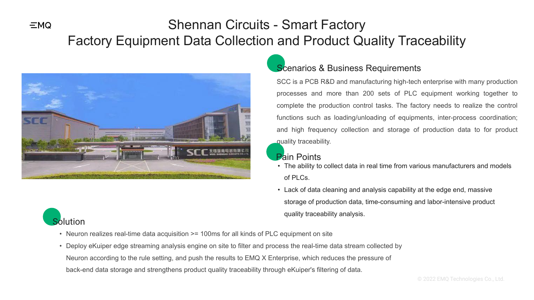



### Shennan Circuits - Smart Factory Factory Equipment Data Collection and Product Quality Traceability



### Scenarios & Business Requirements

SCC is a PCB R&D and manufacturing high-tech enterprise with many production processes and more than 200 sets of PLC equipment working together to complete the production control tasks. The factory needs to realize the control functions such as loading/unloading of equipments, inter-process coordination; and high frequency collection and storage of production data to for product quality traceability.

- Neuron realizes real-time data acquisition >= 100ms for all kinds of PLC equipment on site
- Deploy eKuiper edge streaming analysis engine on site to filter and process the real-time data stream collected by Neuron according to the rule setting, and push the results to EMQ X Enterprise, which reduces the pressure of back-end data storage and strengthens product quality traceability through eKuiper's filtering of data.

#### Pain Points



 $\equiv$ MQ

- The ability to collect data in real time from various manufacturers and models of PLCs.
- Lack of data cleaning and analysis capability at the edge end, massive storage of production data, time-consuming and labor-intensive product quality traceability analysis.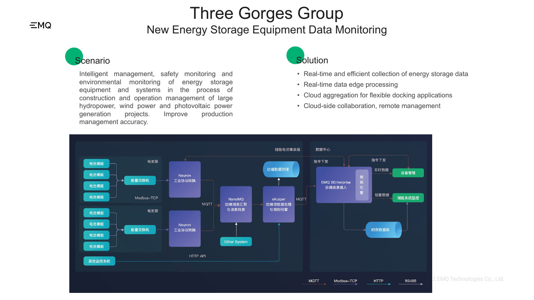

Intelligent management, safety monitoring and environmental monitoring of energy storage equipment and systems in the process of construction and operation management of large hydropower, wind power and photovoltaic power generation projects. Improve production management accuracy.





- Real-time and efficient collection of energy storage data
- Real-time data edge processing
- Cloud aggregation for flexible docking applications
- Cloud-side collaboration, remote management

RS485 2 EMQ Technologies Co., Ltd.

### Three Gorges Group New Energy Storage Equipment Data Monitoring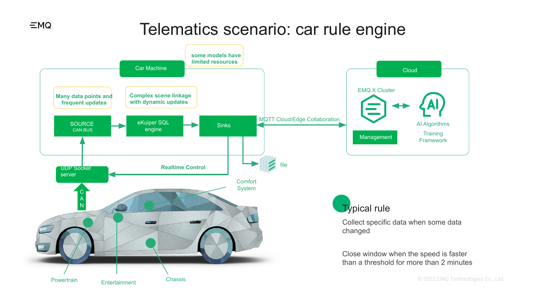#### $\equiv$ MQ

### Telematics scenario: car rule engine



than a threshold for more than 2 minutes